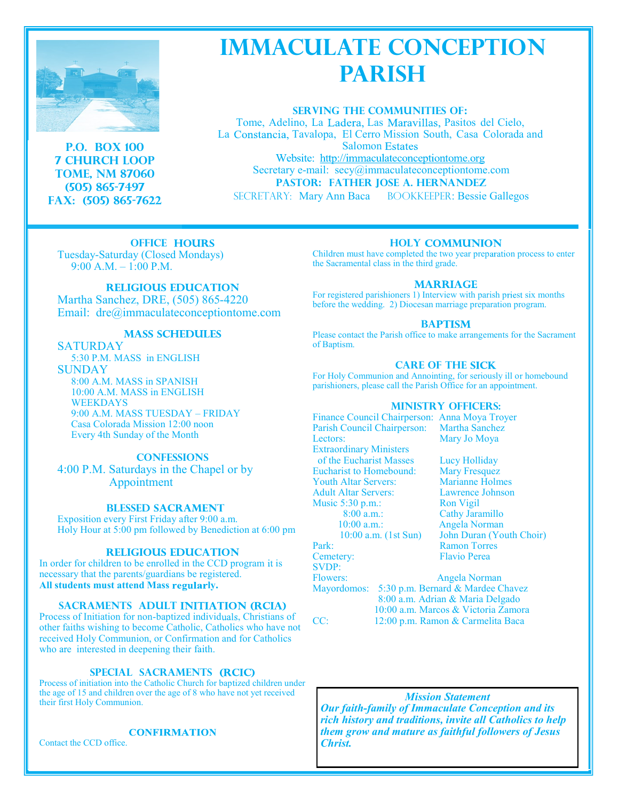

**P.O. BOX 100 7 CHURCH LOOP TOME, NM 87060 (505) 865-7497 Fax: (505) 865-7622**

# **IMMACULATE CONCEPTION PARISH**

**SERVING THE COMMUNITIES OF:**

Tome, Adelino, La Ladera, Las Maravillas, Pasitos del Cielo, La Constancia, Tavalopa, El Cerro Mission South, Casa Colorada and **Salomon Estates** 

Website: http://immaculateconceptiontome.org Secretary e-mail: secy@immaculateconceptiontome.com **PASTOR: FATHER JOSE A. HERNANDEZ**

SECRETARY: Mary Ann Baca BOOKKEEPER: Bessie Gallegos

**OFFICE HOURS** Tuesday-Saturday (Closed Mondays) 9:00 A.M. – 1:00 P.M.

### **RELIGIOUS EDUCATION**

Martha Sanchez, DRE, (505) 865-4220 Email: dre@immaculateconceptiontome.com

## **MASS SCHEDULES**

**SATURDAY** 5:30 P.M. MASS in ENGLISH SUNDAY 8:00 A.M. MASS in SPANISH 10:00 A.M. MASS in ENGLISH WEEKDAYS 9:00 A.M. MASS TUESDAY – FRIDAY Casa Colorada Mission 12:00 noon Every 4th Sunday of the Month

### **CONFESSIONS**

4:00 P.M. Saturdays in the Chapel or by Appointment

#### **BLESSED SACRAMENT**

Exposition every First Friday after 9:00 a.m. Holy Hour at 5:00 pm followed by Benediction at 6:00 pm

#### **RELIGIOUS EDUCATION**

In order for children to be enrolled in the CCD program it is necessary that the parents/guardians be egistered. All students must attend Mass regularly.

### **SACRAMENTS ADULT INITIATION (RCIA)**

Process of Initiation for non-baptized individuals, Christians of other faiths wishing to become Catholic, Catholics who have not received Holy Communion, or Confirmation and for Catholics who are interested in deepening their faith.

#### **SPECIAL SACRAMENTS**

Process of initiation into the Catholic Church for baptized children under the age of 15 and children over the age of 8 who have not yet received their first Holy Communion.

#### **CONFIRMATION**

Contact the CCD office.

#### **HOLY COMMUNION**

Children must have completed the two year preparation process to enter the Sacramental class in the third grade.

#### **MARRIAGE**

For registered parishioners 1) Interview with parish priest six months before the wedding. 2) Diocesan marriage preparation program.

#### **BAPTISM**

Please contact the Parish office to make arrangements for the Sacrament of Baptism.

#### **CARE OF THE SICK**

For Holy Communion and Annointing, for seriously ill or homebound parishioners, please call the Parish Office for an appointment.

#### **MINISTRY OFFICERS:**

Finance Council Chairperson: Anna Moya Troyer Parish Council Chairperson: Martha Sanchez Lectors: Mary Jo Moya Extraordinary Ministers of the Eucharist Masses Lucy Holliday Eucharist to Homebound: Mary Fresquez<br>
Youth Altar Servers: Marianne Holmes Youth Altar Servers: Adult Altar Servers: Lawrence Johnson Music 5:30 p.m.:<br>8:00 a.m.: Cathy Jara 10:00 a.m.: Angela Norman 10:00 a.m. (1st Sun) John Duran (Youth Choir) Park: Ramon Torres Cemetery: Flavio Perea SVDP: Flowers: Angela Norman

Cathy Jaramillo

Mayordomos: 5:30 p.m. Bernard & Mardee Chavez 8:00 a.m. Adrian & Maria Delgado 10:00 a.m. Marcos & Victoria Zamora CC: 12:00 p.m. Ramon & Carmelita Baca

#### *Mission Statement*

*Our faith-family of Immaculate Conception and its rich history and traditions, invite all Catholics to help them grow and mature as faithful followers of Jesus Christ.*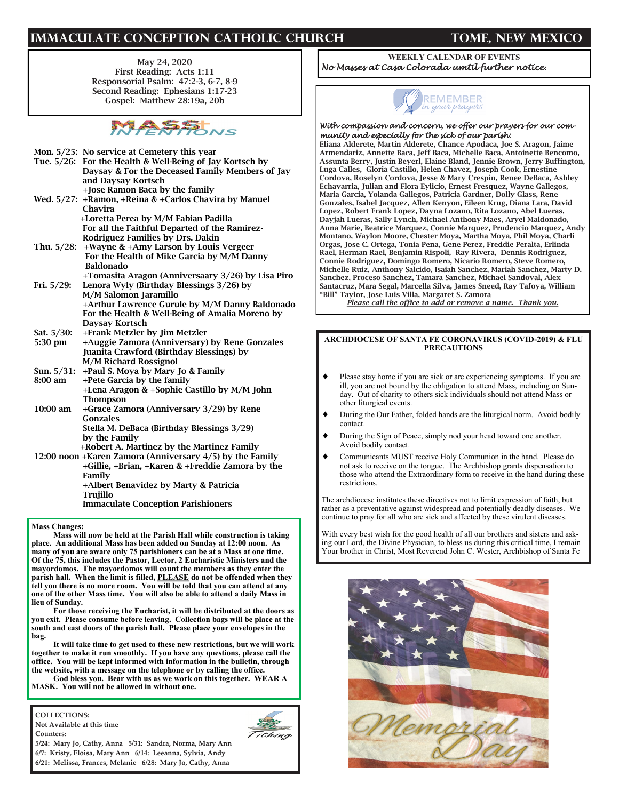# **IMMACULATE CONCEPTION CATHOLIC CHURCH TOME, NEW MEXICO**

May 24, 2020 First Reading: Acts 1:11 Responsorial Psalm: 47:2-3, 6-7, 8-9 Second Reading: Ephesians 1:17-23 Gospel: Matthew 28:19a, 20b



- Mon. 5/25: No service at Cemetery this year Tue. 5/26: For the Health & Well-Being of Jay Kortsch by Daysay & For the Deceased Family Members of Jay and Daysay Kortsch +Jose Ramon Baca by the family Wed. 5/27: +Ramon, +Reina & +Carlos Chavira by Manuel Chavira +Loretta Perea by M/M Fabian Padilla For all the Faithful Departed of the Ramirez- Rodriguez Families by Drs. Dakin Thu. 5/28: +Wayne & +Amy Larson by Louis Vergeer For the Health of Mike Garcia by M/M Danny Baldonado +Tomasita Aragon (Anniversaary 3/26) by Lisa Piro Fri. 5/29: Lenora Wyly (Birthday Blessings 3/26) by M/M Salomon Jaramillo +Arthur Lawrence Gurule by M/M Danny Baldonado For the Health & Well-Being of Amalia Moreno by Daysay Kortsch Sat. 5/30: +Frank Metzler by Jim Metzler 5:30 pm +Auggie Zamora (Anniversary) by Rene Gonzales Juanita Crawford (Birthday Blessings) by M/M Richard Rossignol Sun. 5/31: +Paul S. Moya by Mary Jo & Family
- 8:00 am +Pete Garcia by the family +Lena Aragon & +Sophie Castillo by M/M John Thompson
- 10:00 am +Grace Zamora (Anniversary 3/29) by Rene Gonzales Stella M. DeBaca (Birthday Blessings 3/29)

 by the Family +Robert A. Martinez by the Martinez Family 12:00 noon +Karen Zamora (Anniversary 4/5) by the Family +Gillie, +Brian, +Karen & +Freddie Zamora by the Family

 +Albert Benavidez by Marty & Patricia Trujillo Immaculate Conception Parishioners

**Mass Changes:**

**Mass will now be held at the Parish Hall while construction is taking place. An additional Mass has been added on Sunday at 12:00 noon. As many of you are aware only 75 parishioners can be at a Mass at one time. Of the 75, this includes the Pastor, Lector, 2 Eucharistic Ministers and the mayordomos. The mayordomos will count the members as they enter the parish hall. When the limit is filled, PLEASE do not be offended when they tell you there is no more room. You will be told that you can attend at any one of the other Mass time. You will also be able to attend a daily Mass in lieu of Sunday.** 

**For those receiving the Eucharist, it will be distributed at the doors as you exit. Please consume before leaving. Collection bags will be place at the south and east doors of the parish hall. Please place your envelopes in the bag.** 

**It will take time to get used to these new restrictions, but we will work together to make it run smoothly. If you have any questions, please call the office. You will be kept informed with information in the bulletin, through the website, with a message on the telephone or by calling the office.** 

**God bless you. Bear with us as we work on this together. WEAR A MASK. You will not be allowed in without one.**

**COLLECTIONS: Not Available at this time**

**Counters:** 



**5/24: Mary Jo, Cathy, Anna 5/31: Sandra, Norma, Mary Ann 6/7: Kristy, Eloisa, Mary Ann 6/14: Leeanna, Sylvia, Andy 6/21: Melissa, Frances, Melanie 6/28: Mary Jo, Cathy, Anna**

#### **WEEKLY CALENDAR OF EVENTS** *No Masses at Casa Colorada umtil further notice.*



#### *With compassion and concern, we offer our prayers for our community and especially for the sick of our parish:*

Eliana Alderete, Martin Alderete, Chance Apodaca, Joe S. Aragon, Jaime Armendariz, Annette Baca, Jeff Baca, Michelle Baca, Antoinette Bencomo, Assunta Berry, Justin Beyerl, Elaine Bland, Jennie Brown, Jerry Buffington, Luga Calles, Gloria Castillo, Helen Chavez, Joseph Cook, Ernestine Cordova, Roselyn Cordova, Jesse & Mary Crespin, Renee DeBaca, Ashley Echavarria, Julian and Flora Eylicio, Ernest Fresquez, Wayne Gallegos, Maria Garcia, Yolanda Gallegos, Patricia Gardner, Dolly Glass, Rene Gonzales, Isabel Jacquez, Allen Kenyon, Eileen Krug, Diana Lara, David Lopez, Robert Frank Lopez, Dayna Lozano, Rita Lozano, Abel Lueras, Dayjah Lueras, Sally Lynch, Michael Anthony Maes, Aryel Maldonado, Anna Marie, Beatrice Marquez, Connie Marquez, Prudencio Marquez, Andy Montano, Waylon Moore, Chester Moya, Martha Moya, Phil Moya, Charli Orgas, Jose C. Ortega, Tonia Pena, Gene Perez, Freddie Peralta, Erlinda Rael, Herman Rael, Benjamin Rispoli, Ray Rivera, Dennis Rodriguez, Connie Rodriguez, Domingo Romero, Nicario Romero, Steve Romero, Michelle Ruiz, Anthony Salcido, Isaiah Sanchez, Mariah Sanchez, Marty D. Sanchez, Proceso Sanchez, Tamara Sanchez, Michael Sandoval, Alex Santacruz, Mara Segal, Marcella Silva, James Sneed, Ray Tafoya, William "Bill" Taylor, Jose Luis Villa, Margaret S. Zamora

*Please call the office to add or remove a name. Thank you.*

#### **ARCHDIOCESE OF SANTA FE CORONAVIRUS (COVID-2019) & FLU PRECAUTIONS**

- Please stay home if you are sick or are experiencing symptoms. If you are ill, you are not bound by the obligation to attend Mass, including on Sunday. Out of charity to others sick individuals should not attend Mass or other liturgical events.
- During the Our Father, folded hands are the liturgical norm. Avoid bodily contact.
- During the Sign of Peace, simply nod your head toward one another. Avoid bodily contact.
- Communicants MUST receive Holy Communion in the hand. Please do not ask to receive on the tongue. The Archbishop grants dispensation to those who attend the Extraordinary form to receive in the hand during these restrictions.

The archdiocese institutes these directives not to limit expression of faith, but rather as a preventative against widespread and potentially deadly diseases. We continue to pray for all who are sick and affected by these virulent diseases.

With every best wish for the good health of all our brothers and sisters and asking our Lord, the Divine Physician, to bless us during this critical time, I remain Your brother in Christ, Most Reverend John C. Wester, Archbishop of Santa Fe